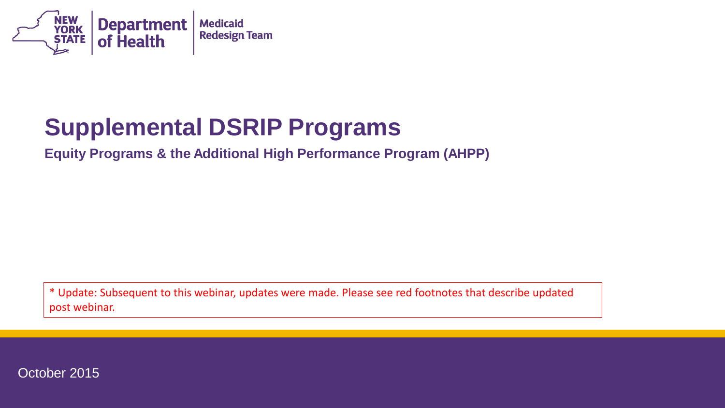

#### **Supplemental DSRIP Programs**

**Equity Programs & the Additional High Performance Program (AHPP)**

\* Update: Subsequent to this webinar, updates were made. Please see red footnotes that describe updated post webinar.

October 2015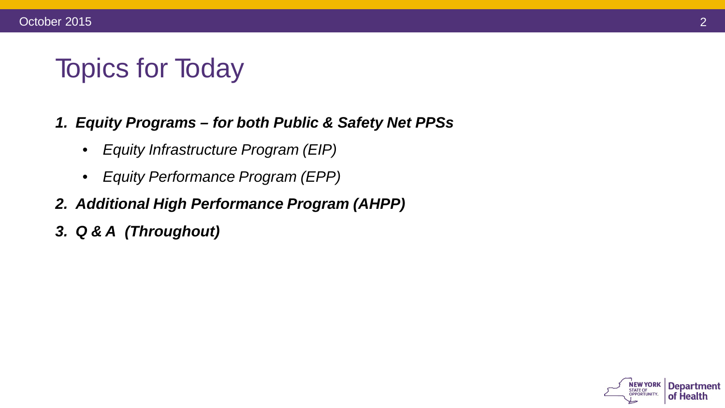#### Topics for Today

#### *1. Equity Programs – for both Public & Safety Net PPSs*

- *Equity Infrastructure Program (EIP)*
- *Equity Performance Program (EPP)*
- *2. Additional High Performance Program (AHPP)*
- *3. Q & A (Throughout)*

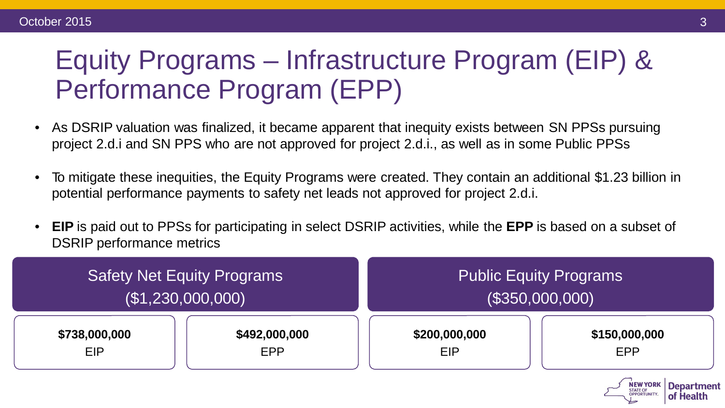#### Equity Programs – Infrastructure Program (EIP) & Performance Program (EPP)

- As DSRIP valuation was finalized, it became apparent that inequity exists between SN PPSs pursuing project 2.d.i and SN PPS who are not approved for project 2.d.i., as well as in some Public PPSs
- To mitigate these inequities, the Equity Programs were created. They contain an additional \$1.23 billion in potential performance payments to safety net leads not approved for project 2.d.i.
- **EIP** is paid out to PPSs for participating in select DSRIP activities, while the **EPP** is based on a subset of DSRIP performance metrics

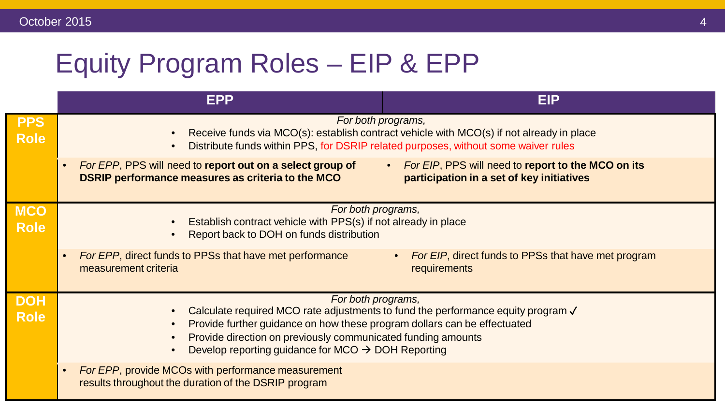# Equity Program Roles – EIP & EPP

|                           | <b>EPP</b>                                                                                                                                                                                                 | <b>EIP</b>                                                                                      |  |
|---------------------------|------------------------------------------------------------------------------------------------------------------------------------------------------------------------------------------------------------|-------------------------------------------------------------------------------------------------|--|
| <b>PPS</b><br><b>Role</b> | For both programs,<br>Receive funds via MCO(s): establish contract vehicle with MCO(s) if not already in place<br>Distribute funds within PPS, for DSRIP related purposes, without some waiver rules       |                                                                                                 |  |
|                           | For EPP, PPS will need to report out on a select group of<br>DSRIP performance measures as criteria to the MCO                                                                                             | For EIP, PPS will need to report to the MCO on its<br>participation in a set of key initiatives |  |
| <b>MCO</b><br><b>Role</b> | For both programs,<br>Establish contract vehicle with PPS(s) if not already in place<br>Report back to DOH on funds distribution                                                                           |                                                                                                 |  |
|                           | For EPP, direct funds to PPSs that have met performance<br>$\bullet$<br>measurement criteria                                                                                                               | For EIP, direct funds to PPSs that have met program<br>requirements                             |  |
| <b>DOH</b><br><b>Role</b> | For both programs,<br>Calculate required MCO rate adjustments to fund the performance equity program √                                                                                                     |                                                                                                 |  |
|                           | Provide further guidance on how these program dollars can be effectuated<br>Provide direction on previously communicated funding amounts<br>Develop reporting guidance for MCO $\rightarrow$ DOH Reporting |                                                                                                 |  |
|                           | For EPP, provide MCOs with performance measurement<br>$\bullet$<br>results throughout the duration of the DSRIP program                                                                                    |                                                                                                 |  |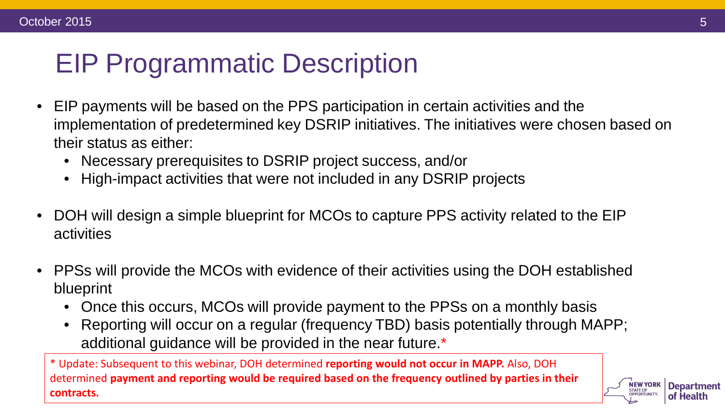## EIP Programmatic Description

- EIP payments will be based on the PPS participation in certain activities and the implementation of predetermined key DSRIP initiatives. The initiatives were chosen based on their status as either:
	- Necessary prerequisites to DSRIP project success, and/or
	- High-impact activities that were not included in any DSRIP projects
- DOH will design a simple blueprint for MCOs to capture PPS activity related to the EIP activities
- PPSs will provide the MCOs with evidence of their activities using the DOH established blueprint
	- Once this occurs, MCOs will provide payment to the PPSs on a monthly basis
	- Reporting will occur on a regular (frequency TBD) basis potentially through MAPP; additional guidance will be provided in the near future.\*

\* Update: Subsequent to this webinar, DOH determined **reporting would not occur in MAPP.** Also, DOH determined **payment and reporting would be required based on the frequency outlined by parties in their contracts.** 

**Department** 

of Health

**STATE OF OPPORTUNITY.**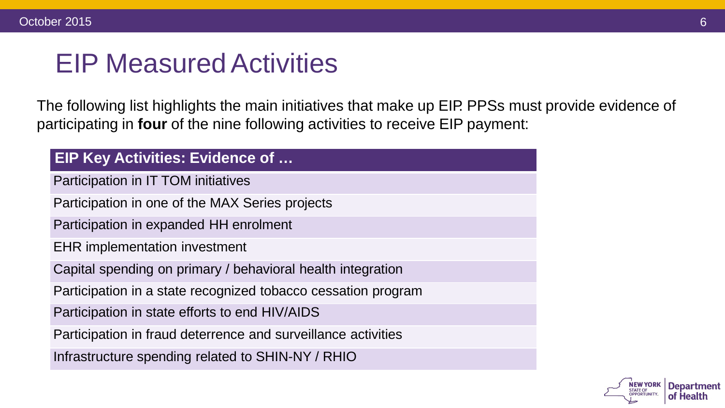#### **EIP Measured Activities**

The following list highlights the main initiatives that make up EIP. PPSs must provide evidence of participating in **four** of the nine following activities to receive EIP payment:

| <b>EIP Key Activities: Evidence of </b>                       |  |  |
|---------------------------------------------------------------|--|--|
| Participation in IT TOM initiatives                           |  |  |
| Participation in one of the MAX Series projects               |  |  |
| Participation in expanded HH enrolment                        |  |  |
| <b>EHR</b> implementation investment                          |  |  |
| Capital spending on primary / behavioral health integration   |  |  |
| Participation in a state recognized tobacco cessation program |  |  |
| Participation in state efforts to end HIV/AIDS                |  |  |
| Participation in fraud deterrence and surveillance activities |  |  |
| Infrastructure spending related to SHIN-NY / RHIO             |  |  |

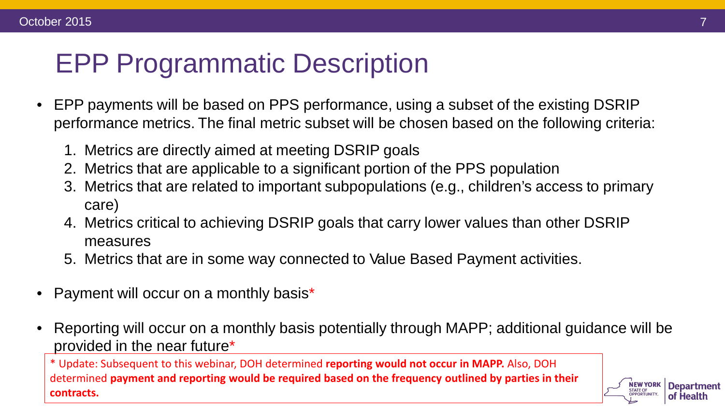### EPP Programmatic Description

- EPP payments will be based on PPS performance, using a subset of the existing DSRIP performance metrics. The final metric subset will be chosen based on the following criteria:
	- 1. Metrics are directly aimed at meeting DSRIP goals
	- 2. Metrics that are applicable to a significant portion of the PPS population
	- 3. Metrics that are related to important subpopulations (e.g., children's access to primary care)
	- 4. Metrics critical to achieving DSRIP goals that carry lower values than other DSRIP measures
	- 5. Metrics that are in some way connected to Value Based Payment activities.
- Payment will occur on a monthly basis\*
- Reporting will occur on a monthly basis potentially through MAPP; additional guidance will be provided in the near future\*

\* Update: Subsequent to this webinar, DOH determined **reporting would not occur in MAPP.** Also, DOH determined **payment and reporting would be required based on the frequency outlined by parties in their contracts.** 

**Department** 

of Health

**STATE OF OPPORTUNITY.**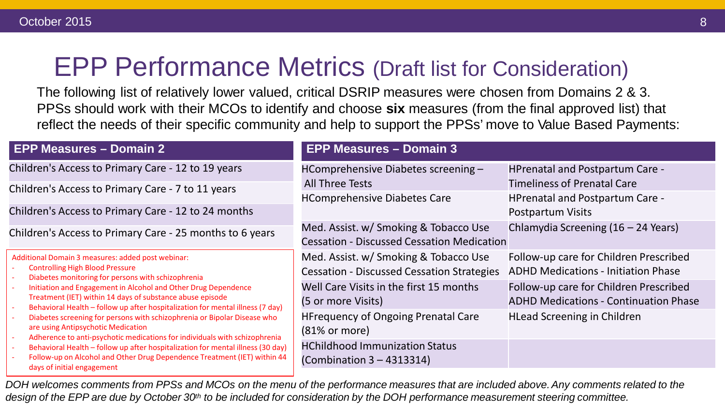#### EPP Performance Metrics (Draft list for Consideration)

The following list of relatively lower valued, critical DSRIP measures were chosen from Domains 2 & 3. PPSs should work with their MCOs to identify and choose **six** measures (from the final approved list) that reflect the needs of their specific community and help to support the PPSs' move to Value Based Payments:

| <b>EPP Measures - Domain 2</b>                                                                                                                                                                                | <b>EPP Measures - Domain 3</b>                                                             |                                                                                        |
|---------------------------------------------------------------------------------------------------------------------------------------------------------------------------------------------------------------|--------------------------------------------------------------------------------------------|----------------------------------------------------------------------------------------|
| Children's Access to Primary Care - 12 to 19 years<br>Children's Access to Primary Care - 7 to 11 years                                                                                                       | HComprehensive Diabetes screening -<br><b>All Three Tests</b>                              | <b>HPrenatal and Postpartum Care -</b><br><b>Timeliness of Prenatal Care</b>           |
| Children's Access to Primary Care - 12 to 24 months                                                                                                                                                           | <b>HComprehensive Diabetes Care</b>                                                        | <b>HPrenatal and Postpartum Care -</b><br>Postpartum Visits                            |
| Children's Access to Primary Care - 25 months to 6 years                                                                                                                                                      | Med. Assist. w/ Smoking & Tobacco Use<br><b>Cessation - Discussed Cessation Medication</b> | Chlamydia Screening (16 – 24 Years)                                                    |
| Additional Domain 3 measures: added post webinar:<br><b>Controlling High Blood Pressure</b><br>Diabetes monitoring for persons with schizophrenia                                                             | Med. Assist. w/ Smoking & Tobacco Use<br><b>Cessation - Discussed Cessation Strategies</b> | Follow-up care for Children Prescribed<br><b>ADHD Medications - Initiation Phase</b>   |
| Initiation and Engagement in Alcohol and Other Drug Dependence<br>Treatment (IET) within 14 days of substance abuse episode<br>Behavioral Health - follow up after hospitalization for mental illness (7 day) | Well Care Visits in the first 15 months<br>(5 or more Visits)                              | Follow-up care for Children Prescribed<br><b>ADHD Medications - Continuation Phase</b> |
| Diabetes screening for persons with schizophrenia or Bipolar Disease who<br>are using Antipsychotic Medication<br>Adherence to anti-psychotic medications for individuals with schizophrenia                  | <b>HFrequency of Ongoing Prenatal Care</b><br>$(81\% \text{ or more})$                     | <b>HLead Screening in Children</b>                                                     |
| Behavioral Health - follow up after hospitalization for mental illness (30 day)<br>Follow-up on Alcohol and Other Drug Dependence Treatment (IET) within 44<br>days of initial engagement                     | <b>HChildhood Immunization Status</b><br>(Combination $3 - 4313314$ )                      |                                                                                        |
|                                                                                                                                                                                                               |                                                                                            |                                                                                        |

DOH welcomes comments from PPSs and MCOs on the menu of the performance measures that are included above. Any comments related to the design of the EPP are due by October 30<sup>th</sup> to be included for consideration by the DOH performance measurement steering committee.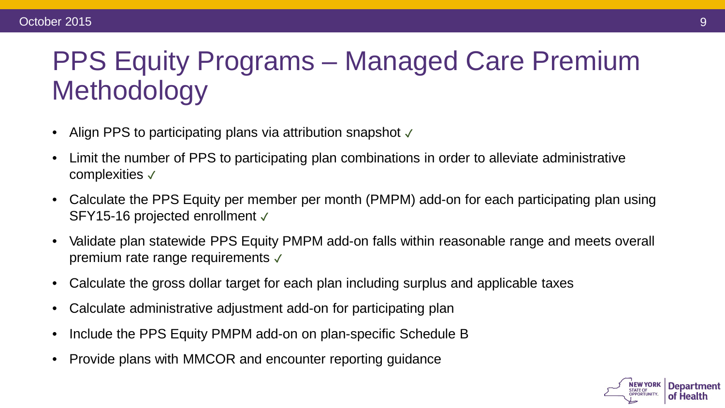# PPS Equity Programs – Managed Care Premium **Methodology**

- Align PPS to participating plans via attribution snapshot  $√$
- Limit the number of PPS to participating plan combinations in order to alleviate administrative complexities ✓
- Calculate the PPS Equity per member per month (PMPM) add-on for each participating plan using SFY15-16 projected enrollment √
- Validate plan statewide PPS Equity PMPM add-on falls within reasonable range and meets overall premium rate range requirements  $√$
- Calculate the gross dollar target for each plan including surplus and applicable taxes
- Calculate administrative adjustment add-on for participating plan
- Include the PPS Equity PMPM add-on on plan-specific Schedule B
- Provide plans with MMCOR and encounter reporting guidance

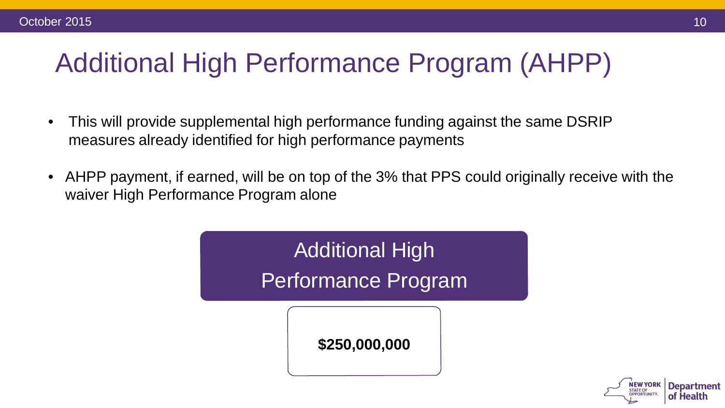### Additional High Performance Program (AHPP)

- This will provide supplemental high performance funding against the same DSRIP measures already identified for high performance payments
- AHPP payment, if earned, will be on top of the 3% that PPS could originally receive with the waiver High Performance Program alone



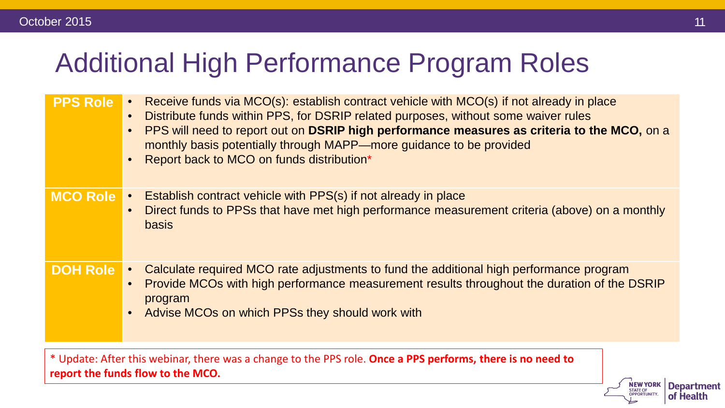#### Additional High Performance Program Roles

| <b>PPS Role</b> | Receive funds via MCO(s): establish contract vehicle with MCO(s) if not already in place<br>Distribute funds within PPS, for DSRIP related purposes, without some waiver rules<br>PPS will need to report out on DSRIP high performance measures as criteria to the MCO, on a<br>monthly basis potentially through MAPP—more guidance to be provided<br>Report back to MCO on funds distribution* |
|-----------------|---------------------------------------------------------------------------------------------------------------------------------------------------------------------------------------------------------------------------------------------------------------------------------------------------------------------------------------------------------------------------------------------------|
| <b>MCO Role</b> | Establish contract vehicle with PPS(s) if not already in place<br>Direct funds to PPSs that have met high performance measurement criteria (above) on a monthly<br><b>basis</b>                                                                                                                                                                                                                   |
| <b>DOH Role</b> | Calculate required MCO rate adjustments to fund the additional high performance program<br>$\bullet$<br>Provide MCOs with high performance measurement results throughout the duration of the DSRIP<br>program<br>Advise MCOs on which PPSs they should work with                                                                                                                                 |

\* Update: After this webinar, there was a change to the PPS role. **Once a PPS performs, there is no need to report the funds flow to the MCO.** 

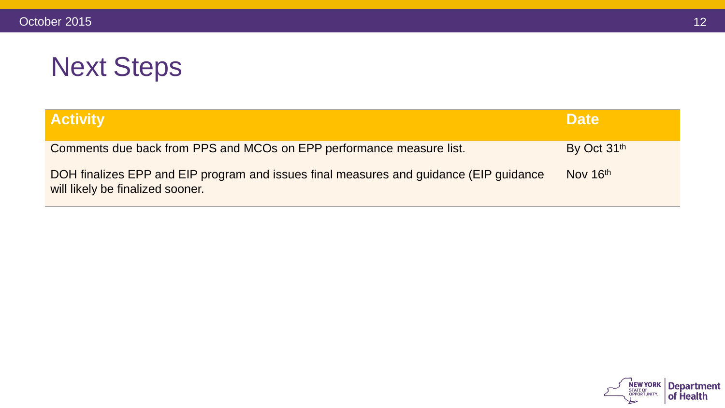# Next Steps

| <b>Activity</b>                                                                                                            | <b>Date</b> |
|----------------------------------------------------------------------------------------------------------------------------|-------------|
| Comments due back from PPS and MCOs on EPP performance measure list.                                                       | By Oct 31th |
| DOH finalizes EPP and EIP program and issues final measures and guidance (EIP guidance<br>will likely be finalized sooner. | Nov 16th    |